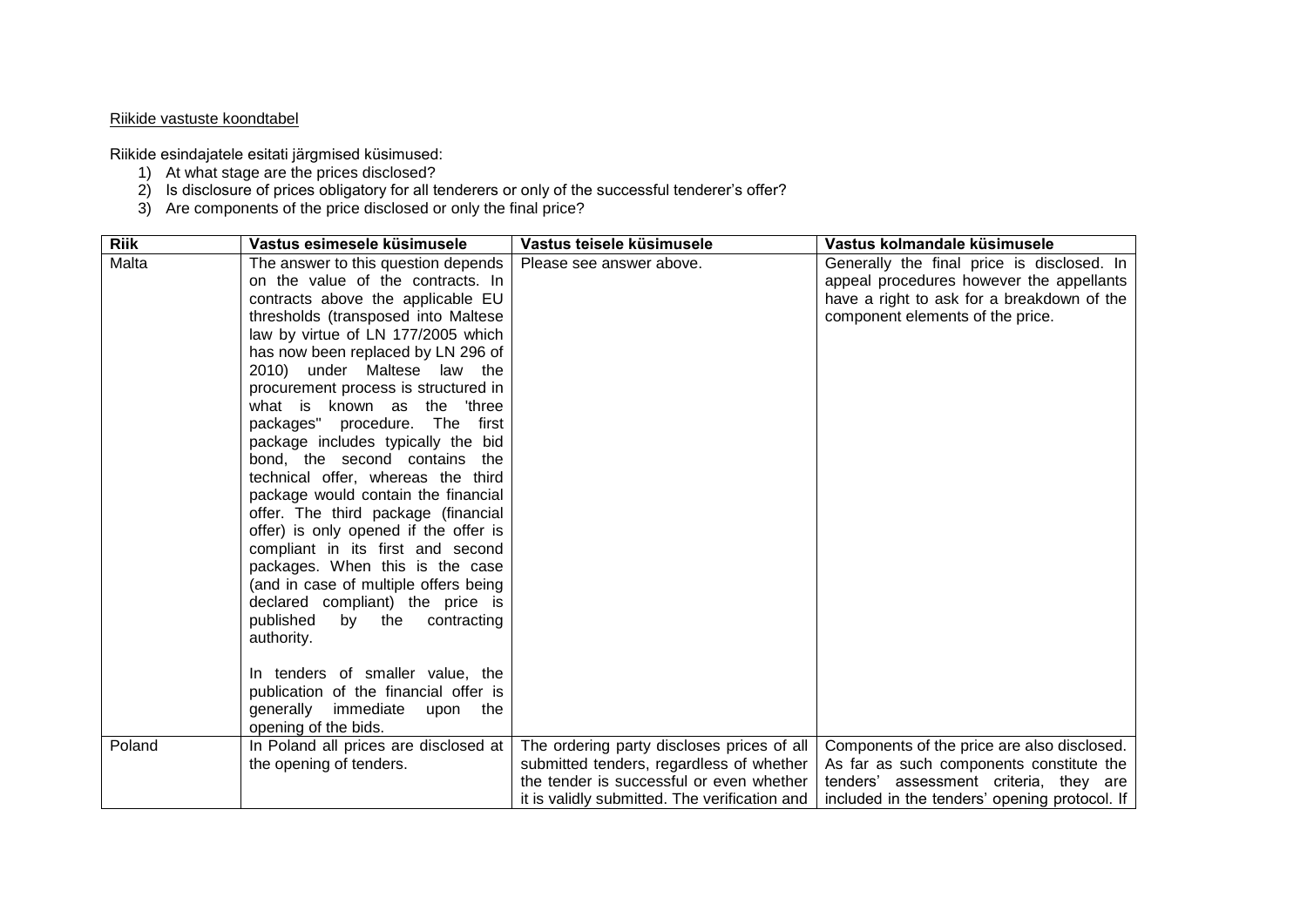## Riikide vastuste koondtabel

Riikide esindajatele esitati järgmised küsimused:

- 1) At what stage are the prices disclosed?
- 2) Is disclosure of prices obligatory for all tenderers or only of the successful tenderer's offer?
- 3) Are components of the price disclosed or only the final price?

| <b>Riik</b> | Vastus esimesele küsimusele           | Vastus teisele küsimusele                     | Vastus kolmandale küsimusele                  |
|-------------|---------------------------------------|-----------------------------------------------|-----------------------------------------------|
| Malta       | The answer to this question depends   | Please see answer above.                      | Generally the final price is disclosed. In    |
|             | on the value of the contracts. In     |                                               | appeal procedures however the appellants      |
|             | contracts above the applicable EU     |                                               | have a right to ask for a breakdown of the    |
|             | thresholds (transposed into Maltese   |                                               | component elements of the price.              |
|             | law by virtue of LN 177/2005 which    |                                               |                                               |
|             | has now been replaced by LN 296 of    |                                               |                                               |
|             | 2010) under Maltese law the           |                                               |                                               |
|             | procurement process is structured in  |                                               |                                               |
|             | what is known as the<br>'three        |                                               |                                               |
|             | packages" procedure. The<br>first     |                                               |                                               |
|             | package includes typically the bid    |                                               |                                               |
|             | bond, the second contains the         |                                               |                                               |
|             | technical offer, whereas the third    |                                               |                                               |
|             | package would contain the financial   |                                               |                                               |
|             | offer. The third package (financial   |                                               |                                               |
|             | offer) is only opened if the offer is |                                               |                                               |
|             | compliant in its first and second     |                                               |                                               |
|             | packages. When this is the case       |                                               |                                               |
|             | (and in case of multiple offers being |                                               |                                               |
|             | declared compliant) the price is      |                                               |                                               |
|             | published<br>by<br>contracting<br>the |                                               |                                               |
|             | authority.                            |                                               |                                               |
|             |                                       |                                               |                                               |
|             | In tenders of smaller value, the      |                                               |                                               |
|             | publication of the financial offer is |                                               |                                               |
|             | generally immediate upon the          |                                               |                                               |
|             | opening of the bids.                  |                                               |                                               |
| Poland      | In Poland all prices are disclosed at | The ordering party discloses prices of all    | Components of the price are also disclosed.   |
|             | the opening of tenders.               | submitted tenders, regardless of whether      | As far as such components constitute the      |
|             |                                       | the tender is successful or even whether      | tenders' assessment criteria, they are        |
|             |                                       | it is validly submitted. The verification and | included in the tenders' opening protocol. If |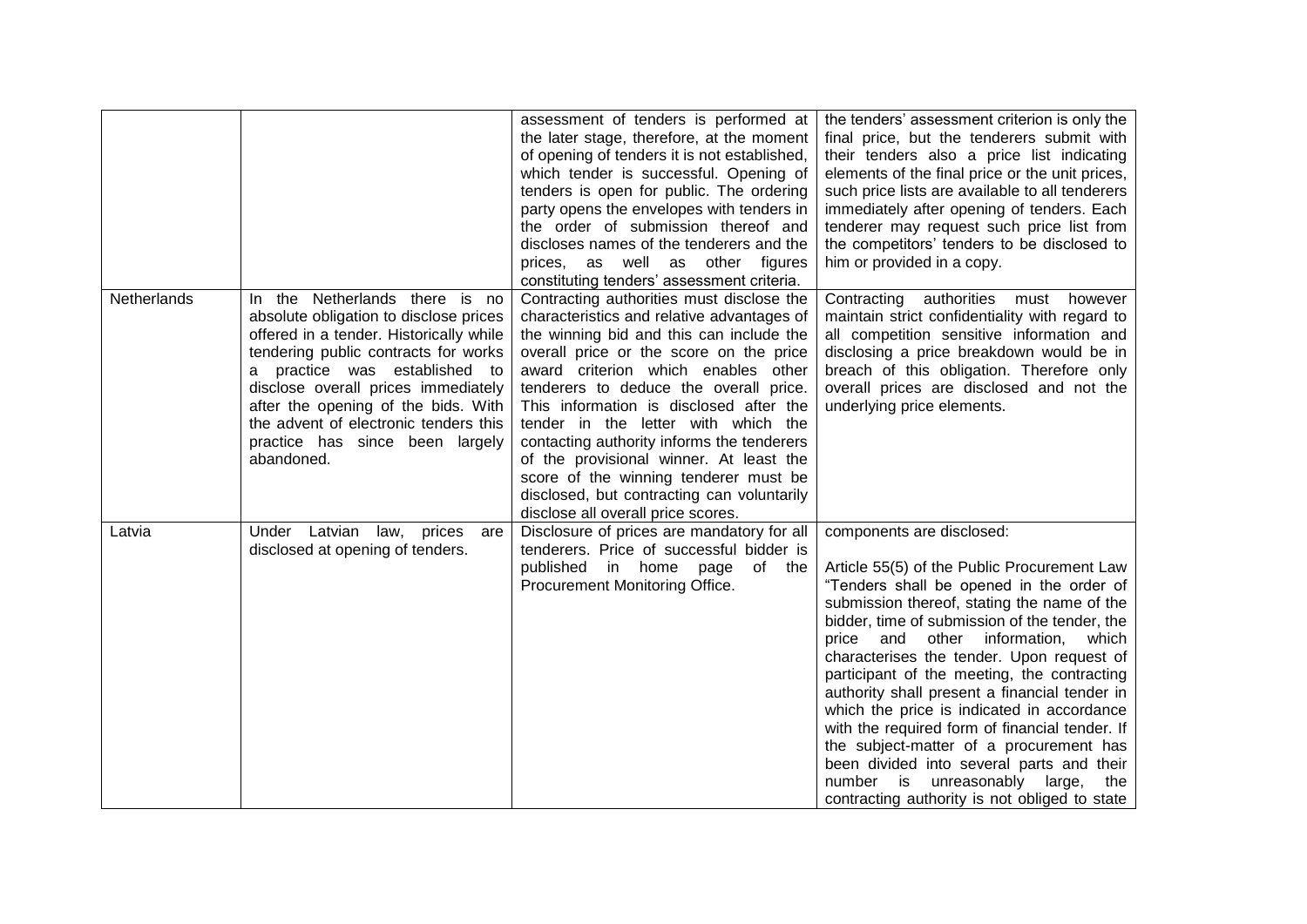|             |                                                                                                                                                                                                                                                                                                                                                                         | assessment of tenders is performed at<br>the later stage, therefore, at the moment<br>of opening of tenders it is not established,<br>which tender is successful. Opening of<br>tenders is open for public. The ordering<br>party opens the envelopes with tenders in<br>the order of submission thereof and<br>discloses names of the tenderers and the<br>prices, as well as other figures<br>constituting tenders' assessment criteria.                                                                                                                              | the tenders' assessment criterion is only the<br>final price, but the tenderers submit with<br>their tenders also a price list indicating<br>elements of the final price or the unit prices,<br>such price lists are available to all tenderers<br>immediately after opening of tenders. Each<br>tenderer may request such price list from<br>the competitors' tenders to be disclosed to<br>him or provided in a copy.                                                                                                                                                                                                                                                                           |
|-------------|-------------------------------------------------------------------------------------------------------------------------------------------------------------------------------------------------------------------------------------------------------------------------------------------------------------------------------------------------------------------------|-------------------------------------------------------------------------------------------------------------------------------------------------------------------------------------------------------------------------------------------------------------------------------------------------------------------------------------------------------------------------------------------------------------------------------------------------------------------------------------------------------------------------------------------------------------------------|---------------------------------------------------------------------------------------------------------------------------------------------------------------------------------------------------------------------------------------------------------------------------------------------------------------------------------------------------------------------------------------------------------------------------------------------------------------------------------------------------------------------------------------------------------------------------------------------------------------------------------------------------------------------------------------------------|
| Netherlands | In the Netherlands there is no<br>absolute obligation to disclose prices<br>offered in a tender. Historically while<br>tendering public contracts for works<br>practice was established to<br>a<br>disclose overall prices immediately<br>after the opening of the bids. With<br>the advent of electronic tenders this<br>practice has since been largely<br>abandoned. | Contracting authorities must disclose the<br>characteristics and relative advantages of<br>the winning bid and this can include the<br>overall price or the score on the price<br>award criterion which enables other<br>tenderers to deduce the overall price.<br>This information is disclosed after the<br>tender in the letter with which the<br>contacting authority informs the tenderers<br>of the provisional winner. At least the<br>score of the winning tenderer must be<br>disclosed, but contracting can voluntarily<br>disclose all overall price scores. | Contracting authorities<br>must<br>however<br>maintain strict confidentiality with regard to<br>all competition sensitive information and<br>disclosing a price breakdown would be in<br>breach of this obligation. Therefore only<br>overall prices are disclosed and not the<br>underlying price elements.                                                                                                                                                                                                                                                                                                                                                                                      |
| Latvia      | Under Latvian law, prices<br>are<br>disclosed at opening of tenders.                                                                                                                                                                                                                                                                                                    | Disclosure of prices are mandatory for all<br>tenderers. Price of successful bidder is<br>published<br>in home<br>of the<br>page<br>Procurement Monitoring Office.                                                                                                                                                                                                                                                                                                                                                                                                      | components are disclosed:<br>Article 55(5) of the Public Procurement Law<br>"Tenders shall be opened in the order of<br>submission thereof, stating the name of the<br>bidder, time of submission of the tender, the<br>price and other information, which<br>characterises the tender. Upon request of<br>participant of the meeting, the contracting<br>authority shall present a financial tender in<br>which the price is indicated in accordance<br>with the required form of financial tender. If<br>the subject-matter of a procurement has<br>been divided into several parts and their<br>is is<br>unreasonably large,<br>number<br>the<br>contracting authority is not obliged to state |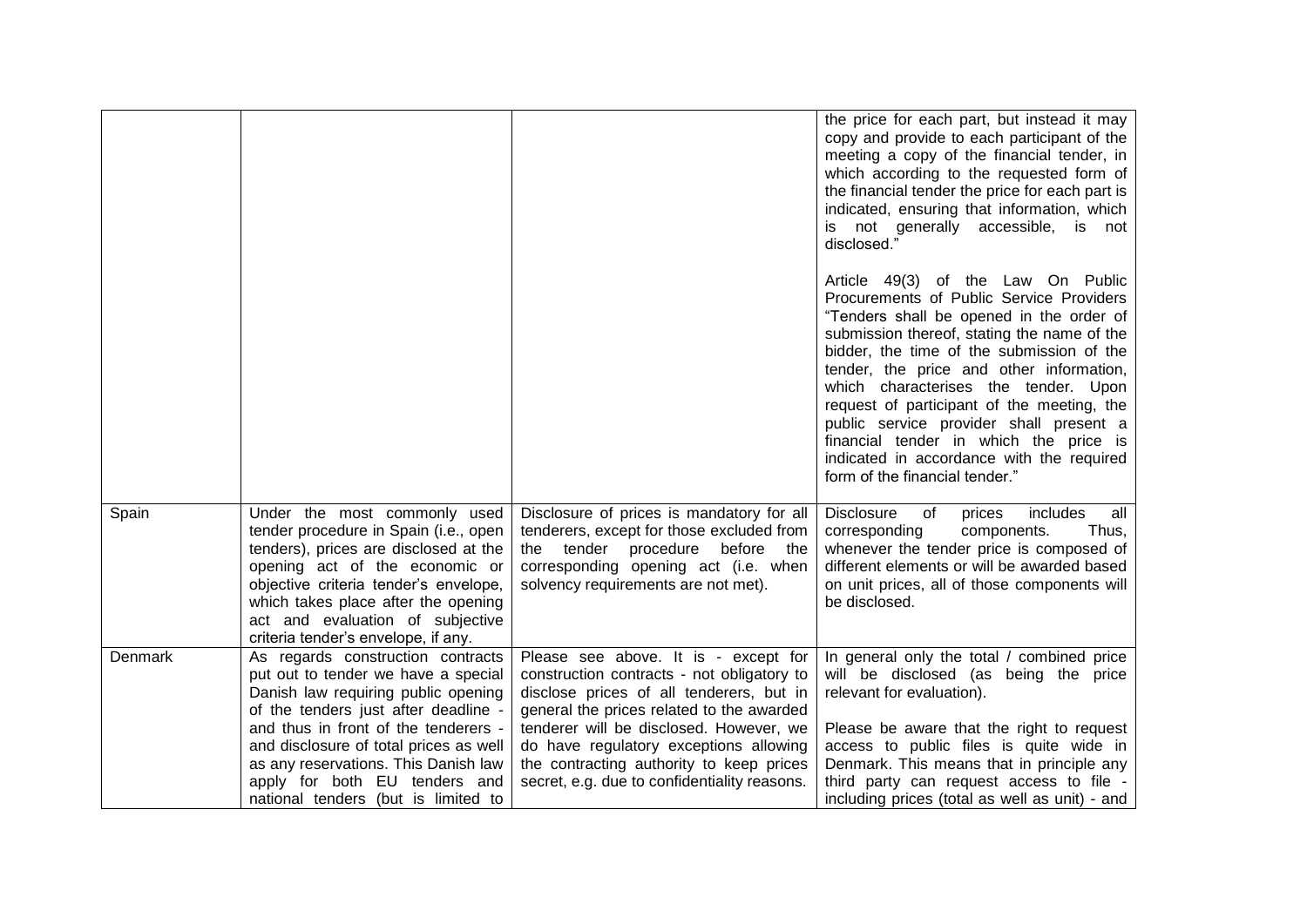|         |                                                                                                                                                                                                                                                                                                                                                           |                                                                                                                                                                                                                                                                                                                                                              | the price for each part, but instead it may<br>copy and provide to each participant of the<br>meeting a copy of the financial tender, in<br>which according to the requested form of<br>the financial tender the price for each part is<br>indicated, ensuring that information, which<br>is not generally accessible, is not<br>disclosed."                                                                                                                                                                                 |
|---------|-----------------------------------------------------------------------------------------------------------------------------------------------------------------------------------------------------------------------------------------------------------------------------------------------------------------------------------------------------------|--------------------------------------------------------------------------------------------------------------------------------------------------------------------------------------------------------------------------------------------------------------------------------------------------------------------------------------------------------------|------------------------------------------------------------------------------------------------------------------------------------------------------------------------------------------------------------------------------------------------------------------------------------------------------------------------------------------------------------------------------------------------------------------------------------------------------------------------------------------------------------------------------|
|         |                                                                                                                                                                                                                                                                                                                                                           |                                                                                                                                                                                                                                                                                                                                                              | Article 49(3) of the Law On Public<br>Procurements of Public Service Providers<br>"Tenders shall be opened in the order of<br>submission thereof, stating the name of the<br>bidder, the time of the submission of the<br>tender, the price and other information,<br>which characterises the tender. Upon<br>request of participant of the meeting, the<br>public service provider shall present a<br>financial tender in which the price is<br>indicated in accordance with the required<br>form of the financial tender." |
| Spain   | Under the most commonly used<br>tender procedure in Spain (i.e., open<br>tenders), prices are disclosed at the<br>opening act of the economic or<br>objective criteria tender's envelope,<br>which takes place after the opening<br>act and evaluation of subjective<br>criteria tender's envelope, if any.                                               | Disclosure of prices is mandatory for all<br>tenderers, except for those excluded from<br>the tender<br>procedure<br>before<br>the<br>corresponding opening act (i.e. when<br>solvency requirements are not met).                                                                                                                                            | <b>Disclosure</b><br>of<br>all<br>prices<br>includes<br>corresponding<br>components.<br>Thus,<br>whenever the tender price is composed of<br>different elements or will be awarded based<br>on unit prices, all of those components will<br>be disclosed.                                                                                                                                                                                                                                                                    |
| Denmark | As regards construction contracts<br>put out to tender we have a special<br>Danish law requiring public opening<br>of the tenders just after deadline -<br>and thus in front of the tenderers -<br>and disclosure of total prices as well<br>as any reservations. This Danish law<br>apply for both EU tenders and<br>national tenders (but is limited to | Please see above. It is - except for<br>construction contracts - not obligatory to<br>disclose prices of all tenderers, but in<br>general the prices related to the awarded<br>tenderer will be disclosed. However, we<br>do have regulatory exceptions allowing<br>the contracting authority to keep prices<br>secret, e.g. due to confidentiality reasons. | In general only the total / combined price<br>will be disclosed (as being the price<br>relevant for evaluation).<br>Please be aware that the right to request<br>access to public files is quite wide in<br>Denmark. This means that in principle any<br>third party can request access to file -<br>including prices (total as well as unit) - and                                                                                                                                                                          |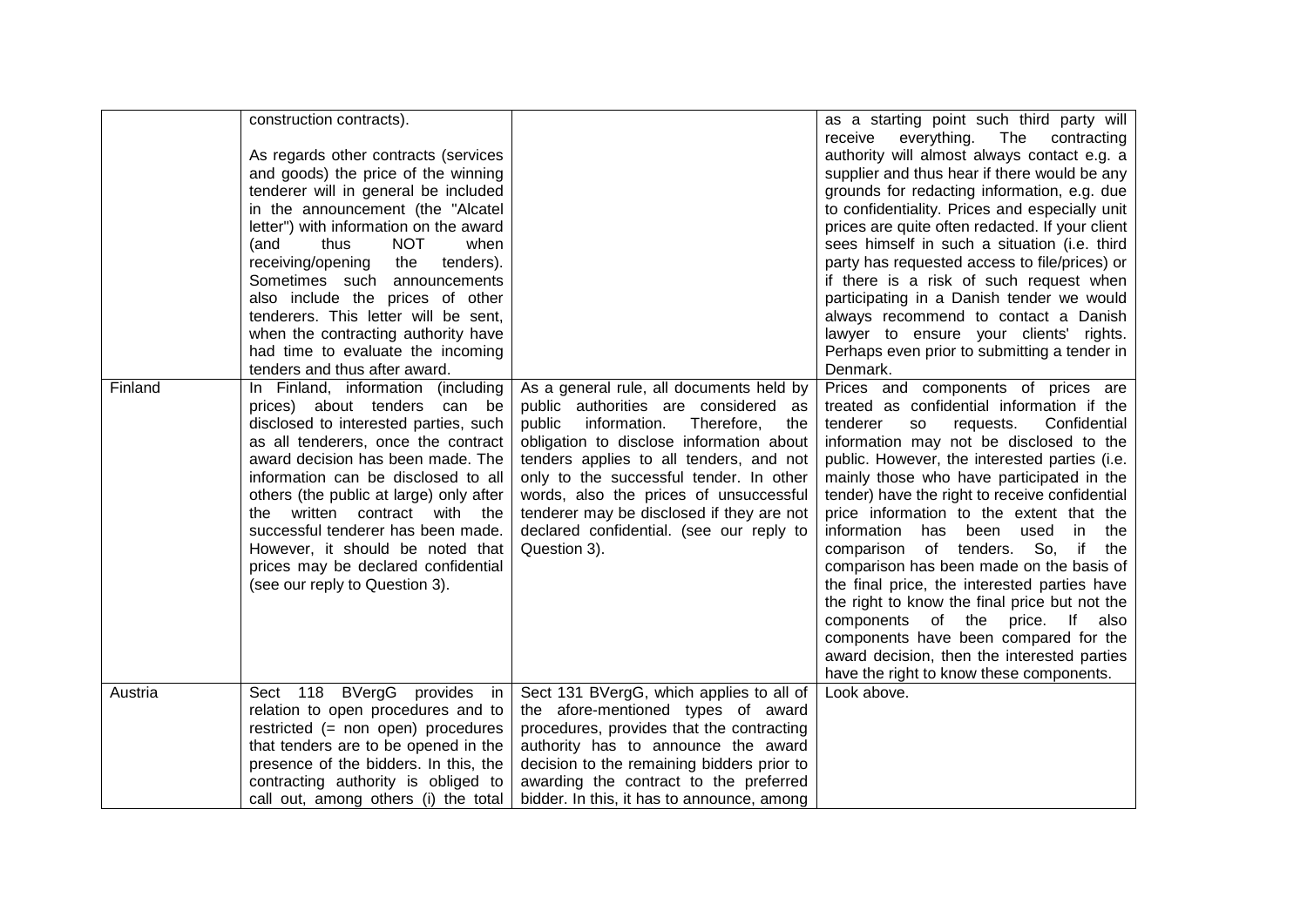|         | construction contracts).<br>As regards other contracts (services<br>and goods) the price of the winning<br>tenderer will in general be included<br>in the announcement (the "Alcatel<br>letter") with information on the award<br>(and<br>thus<br><b>NOT</b><br>when<br>receiving/opening<br>the<br>tenders).<br>Sometimes such announcements<br>also include the prices of other<br>tenderers. This letter will be sent,<br>when the contracting authority have<br>had time to evaluate the incoming<br>tenders and thus after award. |                                                                                                                                                                                                                                                                                                                                                                                                                      | as a starting point such third party will<br>everything.<br>The<br>receive<br>contracting<br>authority will almost always contact e.g. a<br>supplier and thus hear if there would be any<br>grounds for redacting information, e.g. due<br>to confidentiality. Prices and especially unit<br>prices are quite often redacted. If your client<br>sees himself in such a situation (i.e. third<br>party has requested access to file/prices) or<br>if there is a risk of such request when<br>participating in a Danish tender we would<br>always recommend to contact a Danish<br>lawyer to ensure your clients' rights.<br>Perhaps even prior to submitting a tender in<br>Denmark.                                                                                                       |
|---------|----------------------------------------------------------------------------------------------------------------------------------------------------------------------------------------------------------------------------------------------------------------------------------------------------------------------------------------------------------------------------------------------------------------------------------------------------------------------------------------------------------------------------------------|----------------------------------------------------------------------------------------------------------------------------------------------------------------------------------------------------------------------------------------------------------------------------------------------------------------------------------------------------------------------------------------------------------------------|-------------------------------------------------------------------------------------------------------------------------------------------------------------------------------------------------------------------------------------------------------------------------------------------------------------------------------------------------------------------------------------------------------------------------------------------------------------------------------------------------------------------------------------------------------------------------------------------------------------------------------------------------------------------------------------------------------------------------------------------------------------------------------------------|
| Finland | In Finland, information (including<br>prices) about tenders can be<br>disclosed to interested parties, such<br>as all tenderers, once the contract<br>award decision has been made. The<br>information can be disclosed to all<br>others (the public at large) only after<br>the written contract with the<br>successful tenderer has been made.<br>However, it should be noted that<br>prices may be declared confidential<br>(see our reply to Question 3).                                                                          | As a general rule, all documents held by<br>public authorities are considered as<br>public<br>information.<br>Therefore,<br>the<br>obligation to disclose information about<br>tenders applies to all tenders, and not<br>only to the successful tender. In other<br>words, also the prices of unsuccessful<br>tenderer may be disclosed if they are not<br>declared confidential. (see our reply to<br>Question 3). | Prices and components of prices are<br>treated as confidential information if the<br>tenderer<br>requests.<br>Confidential<br><b>SO</b><br>information may not be disclosed to the<br>public. However, the interested parties (i.e.<br>mainly those who have participated in the<br>tender) have the right to receive confidential<br>price information to the extent that the<br>information has<br>been used<br>in.<br>the<br>comparison of tenders. So,<br>if the<br>comparison has been made on the basis of<br>the final price, the interested parties have<br>the right to know the final price but not the<br>components of the price. If also<br>components have been compared for the<br>award decision, then the interested parties<br>have the right to know these components. |
| Austria | Sect 118 BVergG provides in<br>relation to open procedures and to<br>restricted (= non open) procedures<br>that tenders are to be opened in the<br>presence of the bidders. In this, the<br>contracting authority is obliged to                                                                                                                                                                                                                                                                                                        | Sect 131 BVergG, which applies to all of<br>the afore-mentioned types of award<br>procedures, provides that the contracting<br>authority has to announce the award<br>decision to the remaining bidders prior to<br>awarding the contract to the preferred                                                                                                                                                           | Look above.                                                                                                                                                                                                                                                                                                                                                                                                                                                                                                                                                                                                                                                                                                                                                                               |
|         | call out, among others (i) the total                                                                                                                                                                                                                                                                                                                                                                                                                                                                                                   | bidder. In this, it has to announce, among                                                                                                                                                                                                                                                                                                                                                                           |                                                                                                                                                                                                                                                                                                                                                                                                                                                                                                                                                                                                                                                                                                                                                                                           |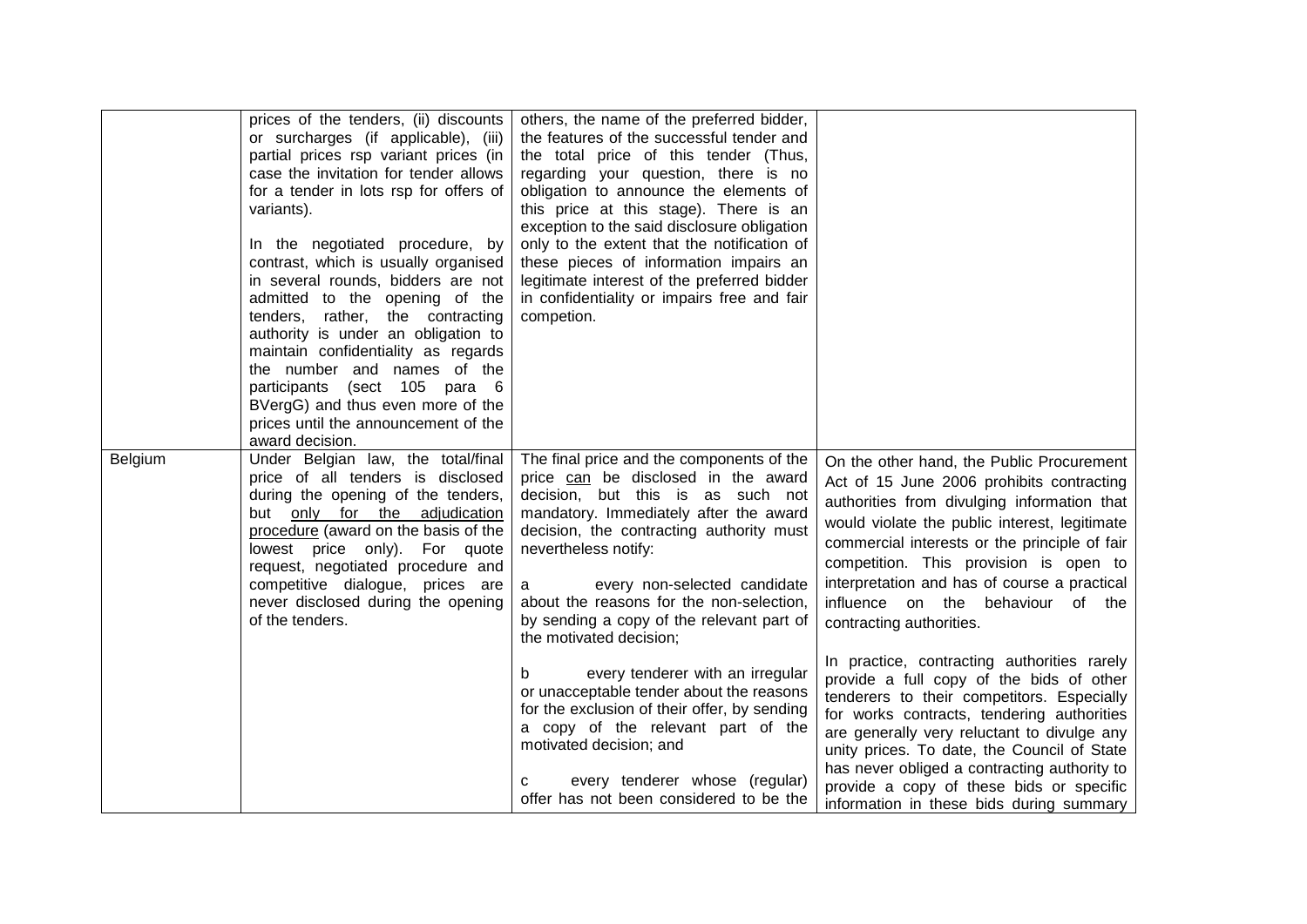|         | prices of the tenders, (ii) discounts<br>or surcharges (if applicable), (iii)<br>partial prices rsp variant prices (in<br>case the invitation for tender allows<br>for a tender in lots rsp for offers of<br>variants).<br>In the negotiated procedure, by<br>contrast, which is usually organised<br>in several rounds, bidders are not<br>admitted to the opening of the<br>rather, the contracting<br>tenders,<br>authority is under an obligation to<br>maintain confidentiality as regards<br>the number and names of the<br>participants (sect 105 para 6<br>BVergG) and thus even more of the<br>prices until the announcement of the<br>award decision. | others, the name of the preferred bidder,<br>the features of the successful tender and<br>the total price of this tender (Thus,<br>regarding your question, there is no<br>obligation to announce the elements of<br>this price at this stage). There is an<br>exception to the said disclosure obligation<br>only to the extent that the notification of<br>these pieces of information impairs an<br>legitimate interest of the preferred bidder<br>in confidentiality or impairs free and fair<br>competion. |                                                                                                                                                                                                                                                                                                                                                                                                                                                                                                     |
|---------|-----------------------------------------------------------------------------------------------------------------------------------------------------------------------------------------------------------------------------------------------------------------------------------------------------------------------------------------------------------------------------------------------------------------------------------------------------------------------------------------------------------------------------------------------------------------------------------------------------------------------------------------------------------------|-----------------------------------------------------------------------------------------------------------------------------------------------------------------------------------------------------------------------------------------------------------------------------------------------------------------------------------------------------------------------------------------------------------------------------------------------------------------------------------------------------------------|-----------------------------------------------------------------------------------------------------------------------------------------------------------------------------------------------------------------------------------------------------------------------------------------------------------------------------------------------------------------------------------------------------------------------------------------------------------------------------------------------------|
| Belgium | Under Belgian law, the total/final<br>price of all tenders is disclosed<br>during the opening of the tenders,<br>but only for the adjudication<br>procedure (award on the basis of the<br>lowest price only). For quote<br>request, negotiated procedure and<br>competitive dialogue, prices are<br>never disclosed during the opening<br>of the tenders.                                                                                                                                                                                                                                                                                                       | The final price and the components of the<br>price can be disclosed in the award<br>decision, but this is as such not<br>mandatory. Immediately after the award<br>decision, the contracting authority must<br>nevertheless notify:<br>every non-selected candidate<br>a<br>about the reasons for the non-selection,<br>by sending a copy of the relevant part of<br>the motivated decision;<br>every tenderer with an irregular                                                                                | On the other hand, the Public Procurement<br>Act of 15 June 2006 prohibits contracting<br>authorities from divulging information that<br>would violate the public interest, legitimate<br>commercial interests or the principle of fair<br>competition. This provision is open to<br>interpretation and has of course a practical<br>influence on the<br>behaviour<br>of the<br>contracting authorities.<br>In practice, contracting authorities rarely<br>provide a full copy of the bids of other |
|         |                                                                                                                                                                                                                                                                                                                                                                                                                                                                                                                                                                                                                                                                 | or unacceptable tender about the reasons<br>for the exclusion of their offer, by sending<br>a copy of the relevant part of the<br>motivated decision; and<br>every tenderer whose (regular)<br>С<br>offer has not been considered to be the                                                                                                                                                                                                                                                                     | tenderers to their competitors. Especially<br>for works contracts, tendering authorities<br>are generally very reluctant to divulge any<br>unity prices. To date, the Council of State<br>has never obliged a contracting authority to<br>provide a copy of these bids or specific<br>information in these bids during summary                                                                                                                                                                      |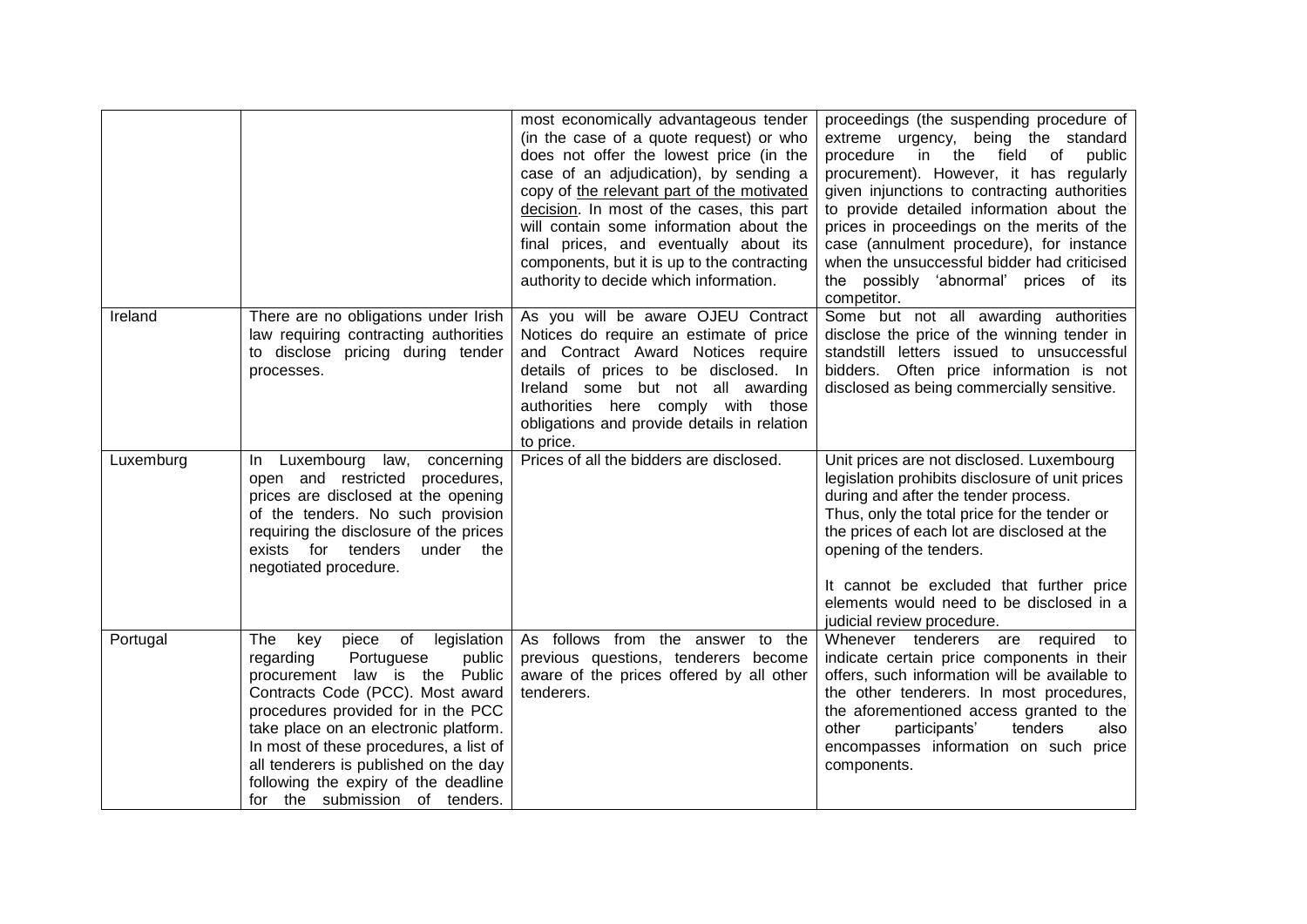|           |                                                                                                                                                                                                                                                                                                                                                                                             | most economically advantageous tender<br>(in the case of a quote request) or who<br>does not offer the lowest price (in the<br>case of an adjudication), by sending a<br>copy of the relevant part of the motivated<br>decision. In most of the cases, this part<br>will contain some information about the<br>final prices, and eventually about its<br>components, but it is up to the contracting<br>authority to decide which information. | proceedings (the suspending procedure of<br>extreme urgency, being the standard<br>procedure in the field of<br>public<br>procurement). However, it has regularly<br>given injunctions to contracting authorities<br>to provide detailed information about the<br>prices in proceedings on the merits of the<br>case (annulment procedure), for instance<br>when the unsuccessful bidder had criticised<br>the possibly 'abnormal' prices of its<br>competitor. |
|-----------|---------------------------------------------------------------------------------------------------------------------------------------------------------------------------------------------------------------------------------------------------------------------------------------------------------------------------------------------------------------------------------------------|------------------------------------------------------------------------------------------------------------------------------------------------------------------------------------------------------------------------------------------------------------------------------------------------------------------------------------------------------------------------------------------------------------------------------------------------|-----------------------------------------------------------------------------------------------------------------------------------------------------------------------------------------------------------------------------------------------------------------------------------------------------------------------------------------------------------------------------------------------------------------------------------------------------------------|
| Ireland   | There are no obligations under Irish<br>law requiring contracting authorities<br>to disclose pricing during tender<br>processes.                                                                                                                                                                                                                                                            | As you will be aware OJEU Contract<br>Notices do require an estimate of price<br>and Contract Award Notices require<br>details of prices to be disclosed. In<br>Ireland some but not all awarding<br>authorities here comply with those<br>obligations and provide details in relation<br>to price.                                                                                                                                            | Some but not all awarding authorities<br>disclose the price of the winning tender in<br>standstill letters issued to unsuccessful<br>bidders. Often price information is not<br>disclosed as being commercially sensitive.                                                                                                                                                                                                                                      |
| Luxemburg | In Luxembourg law,<br>concerning<br>open and restricted<br>procedures,<br>prices are disclosed at the opening<br>of the tenders. No such provision<br>requiring the disclosure of the prices<br>exists for tenders<br>under the<br>negotiated procedure.                                                                                                                                    | Prices of all the bidders are disclosed.                                                                                                                                                                                                                                                                                                                                                                                                       | Unit prices are not disclosed. Luxembourg<br>legislation prohibits disclosure of unit prices<br>during and after the tender process.<br>Thus, only the total price for the tender or<br>the prices of each lot are disclosed at the<br>opening of the tenders.<br>It cannot be excluded that further price<br>elements would need to be disclosed in a<br>judicial review procedure.                                                                            |
| Portugal  | The<br>of legislation<br>key<br>piece<br>Portuguese<br>public<br>regarding<br>procurement law is the Public<br>Contracts Code (PCC). Most award<br>procedures provided for in the PCC<br>take place on an electronic platform.<br>In most of these procedures, a list of<br>all tenderers is published on the day<br>following the expiry of the deadline<br>for the submission of tenders. | As follows from the answer to the<br>previous questions, tenderers become<br>aware of the prices offered by all other<br>tenderers.                                                                                                                                                                                                                                                                                                            | Whenever tenderers are required to<br>indicate certain price components in their<br>offers, such information will be available to<br>the other tenderers. In most procedures,<br>the aforementioned access granted to the<br>other<br>participants'<br>tenders<br>also<br>encompasses information on such price<br>components.                                                                                                                                  |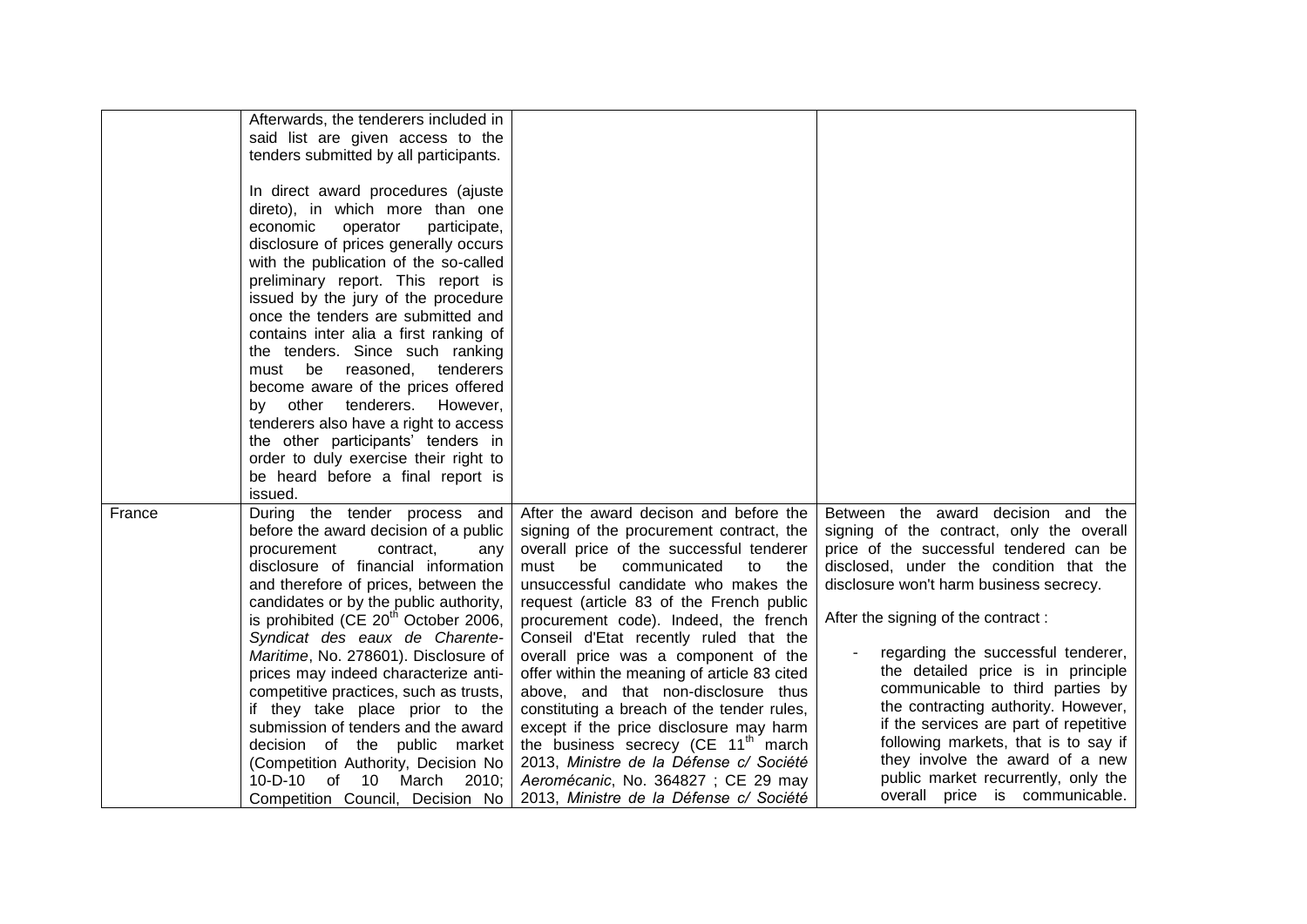|        | Afterwards, the tenderers included in            |                                                 |                                           |
|--------|--------------------------------------------------|-------------------------------------------------|-------------------------------------------|
|        | said list are given access to the                |                                                 |                                           |
|        | tenders submitted by all participants.           |                                                 |                                           |
|        |                                                  |                                                 |                                           |
|        | In direct award procedures (ajuste               |                                                 |                                           |
|        | direto), in which more than one                  |                                                 |                                           |
|        | economic<br>operator<br>participate,             |                                                 |                                           |
|        | disclosure of prices generally occurs            |                                                 |                                           |
|        | with the publication of the so-called            |                                                 |                                           |
|        | preliminary report. This report is               |                                                 |                                           |
|        | issued by the jury of the procedure              |                                                 |                                           |
|        | once the tenders are submitted and               |                                                 |                                           |
|        | contains inter alia a first ranking of           |                                                 |                                           |
|        | the tenders. Since such ranking                  |                                                 |                                           |
|        | must be reasoned,<br>tenderers                   |                                                 |                                           |
|        | become aware of the prices offered               |                                                 |                                           |
|        | by other tenderers.<br>However,                  |                                                 |                                           |
|        | tenderers also have a right to access            |                                                 |                                           |
|        | the other participants' tenders in               |                                                 |                                           |
|        | order to duly exercise their right to            |                                                 |                                           |
|        | be heard before a final report is                |                                                 |                                           |
|        | issued.                                          |                                                 |                                           |
| France | During the tender process and                    | After the award decison and before the          | Between the award decision and the        |
|        | before the award decision of a public            | signing of the procurement contract, the        | signing of the contract, only the overall |
|        | procurement<br>contract,<br>any                  | overall price of the successful tenderer        | price of the successful tendered can be   |
|        | disclosure of financial information              | must<br>communicated<br>be<br>to<br>the         | disclosed, under the condition that the   |
|        | and therefore of prices, between the             | unsuccessful candidate who makes the            | disclosure won't harm business secrecy.   |
|        | candidates or by the public authority,           | request (article 83 of the French public        |                                           |
|        | is prohibited (CE 20 <sup>th</sup> October 2006, | procurement code). Indeed, the french           | After the signing of the contract:        |
|        | Syndicat des eaux de Charente-                   | Conseil d'Etat recently ruled that the          |                                           |
|        | Maritime, No. 278601). Disclosure of             | overall price was a component of the            | regarding the successful tenderer,        |
|        | prices may indeed characterize anti-             | offer within the meaning of article 83 cited    | the detailed price is in principle        |
|        | competitive practices, such as trusts,           | above, and that non-disclosure thus             | communicable to third parties by          |
|        | if they take place prior to the                  | constituting a breach of the tender rules,      | the contracting authority. However,       |
|        | submission of tenders and the award              | except if the price disclosure may harm         | if the services are part of repetitive    |
|        | decision of the public market                    | the business secrecy (CE 11 <sup>th</sup> march | following markets, that is to say if      |
|        | (Competition Authority, Decision No              | 2013, Ministre de la Défense c/ Société         | they involve the award of a new           |
|        | $10 - D - 10$<br>10<br>March 2010;<br>of         | Aeromécanic, No. 364827 ; CE 29 may             | public market recurrently, only the       |
|        | Competition Council, Decision No                 | 2013, Ministre de la Défense c/ Société         | overall price is communicable.            |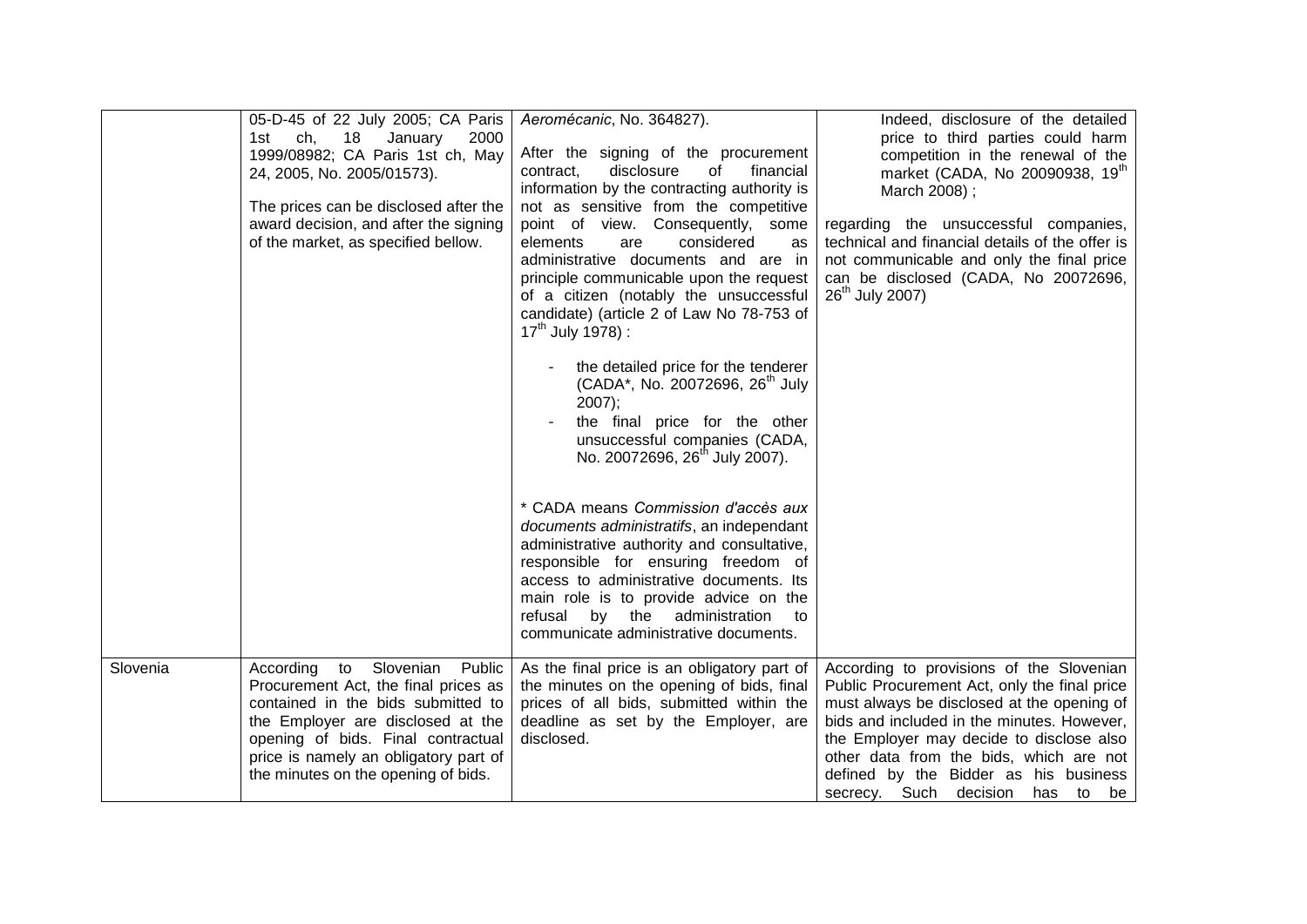|          | 05-D-45 of 22 July 2005; CA Paris<br>ch,<br>18<br>January<br>2000<br>1st<br>1999/08982; CA Paris 1st ch, May<br>24, 2005, No. 2005/01573).<br>The prices can be disclosed after the<br>award decision, and after the signing<br>of the market, as specified bellow.          | Aeromécanic, No. 364827).<br>After the signing of the procurement<br>contract,<br>disclosure<br>financial<br>of<br>information by the contracting authority is<br>not as sensitive from the competitive<br>point of view. Consequently, some<br>considered<br>elements<br>are<br>as<br>administrative documents and are in<br>principle communicable upon the request<br>of a citizen (notably the unsuccessful<br>candidate) (article 2 of Law No 78-753 of<br>$17^{th}$ July 1978) :<br>the detailed price for the tenderer<br>(CADA*, No. 20072696, 26 <sup>th</sup> July<br>2007);<br>the final price for the other<br>unsuccessful companies (CADA,<br>No. 20072696, 26 <sup>th</sup> July 2007).<br>* CADA means Commission d'accès aux<br>documents administratifs, an independant<br>administrative authority and consultative,<br>responsible for ensuring freedom of<br>access to administrative documents. Its<br>main role is to provide advice on the<br>administration<br>refusal<br>by the<br>to<br>communicate administrative documents. | Indeed, disclosure of the detailed<br>price to third parties could harm<br>competition in the renewal of the<br>market (CADA, No 20090938, 19th<br>March 2008);<br>regarding the unsuccessful companies,<br>technical and financial details of the offer is<br>not communicable and only the final price<br>can be disclosed (CADA, No 20072696,<br>26 <sup>th</sup> July 2007) |
|----------|------------------------------------------------------------------------------------------------------------------------------------------------------------------------------------------------------------------------------------------------------------------------------|----------------------------------------------------------------------------------------------------------------------------------------------------------------------------------------------------------------------------------------------------------------------------------------------------------------------------------------------------------------------------------------------------------------------------------------------------------------------------------------------------------------------------------------------------------------------------------------------------------------------------------------------------------------------------------------------------------------------------------------------------------------------------------------------------------------------------------------------------------------------------------------------------------------------------------------------------------------------------------------------------------------------------------------------------------|---------------------------------------------------------------------------------------------------------------------------------------------------------------------------------------------------------------------------------------------------------------------------------------------------------------------------------------------------------------------------------|
| Slovenia | to Slovenian<br>According<br>Public<br>Procurement Act, the final prices as<br>contained in the bids submitted to<br>the Employer are disclosed at the<br>opening of bids. Final contractual<br>price is namely an obligatory part of<br>the minutes on the opening of bids. | As the final price is an obligatory part of<br>the minutes on the opening of bids, final<br>prices of all bids, submitted within the<br>deadline as set by the Employer, are<br>disclosed.                                                                                                                                                                                                                                                                                                                                                                                                                                                                                                                                                                                                                                                                                                                                                                                                                                                               | According to provisions of the Slovenian<br>Public Procurement Act, only the final price<br>must always be disclosed at the opening of<br>bids and included in the minutes. However,<br>the Employer may decide to disclose also<br>other data from the bids, which are not<br>defined by the Bidder as his business<br>secrecy. Such decision<br>has to be                     |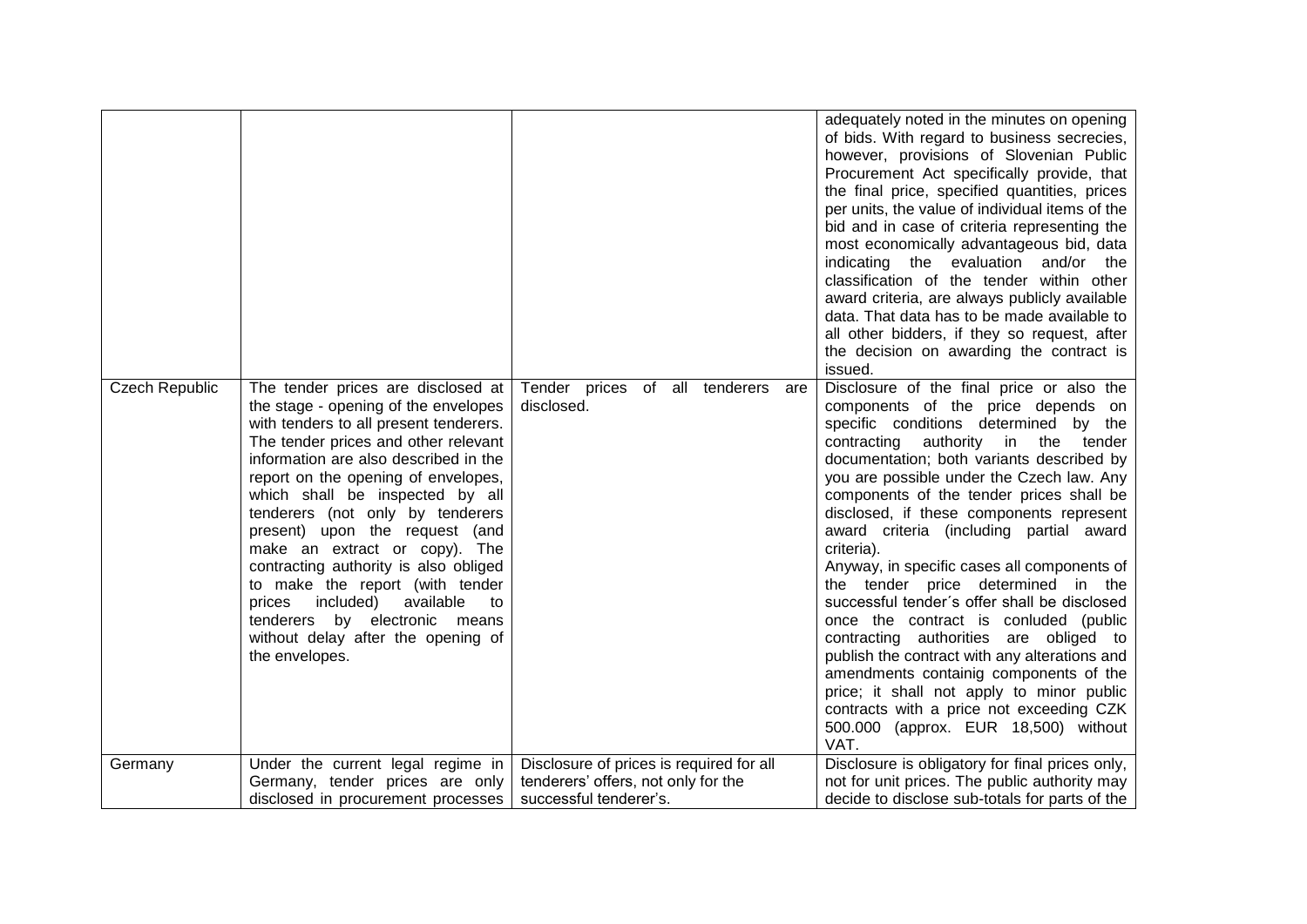|                       |                                                                                                                                                                                                                                                                                                                                                                                                                                                                                                                                                                                                          |                                                                                                           | adequately noted in the minutes on opening<br>of bids. With regard to business secrecies,<br>however, provisions of Slovenian Public<br>Procurement Act specifically provide, that<br>the final price, specified quantities, prices<br>per units, the value of individual items of the<br>bid and in case of criteria representing the<br>most economically advantageous bid, data<br>indicating the evaluation and/or<br>the<br>classification of the tender within other<br>award criteria, are always publicly available<br>data. That data has to be made available to<br>all other bidders, if they so request, after<br>the decision on awarding the contract is<br>issued.                                                                                                                                                                                            |
|-----------------------|----------------------------------------------------------------------------------------------------------------------------------------------------------------------------------------------------------------------------------------------------------------------------------------------------------------------------------------------------------------------------------------------------------------------------------------------------------------------------------------------------------------------------------------------------------------------------------------------------------|-----------------------------------------------------------------------------------------------------------|------------------------------------------------------------------------------------------------------------------------------------------------------------------------------------------------------------------------------------------------------------------------------------------------------------------------------------------------------------------------------------------------------------------------------------------------------------------------------------------------------------------------------------------------------------------------------------------------------------------------------------------------------------------------------------------------------------------------------------------------------------------------------------------------------------------------------------------------------------------------------|
| <b>Czech Republic</b> | The tender prices are disclosed at<br>the stage - opening of the envelopes<br>with tenders to all present tenderers.<br>The tender prices and other relevant<br>information are also described in the<br>report on the opening of envelopes,<br>which shall be inspected by all<br>tenderers (not only by tenderers<br>present) upon the request (and<br>make an extract or copy). The<br>contracting authority is also obliged<br>to make the report (with tender<br>prices<br>included)<br>available<br>to<br>by electronic means<br>tenderers<br>without delay after the opening of<br>the envelopes. | Tender prices of all tenderers are<br>disclosed.                                                          | Disclosure of the final price or also the<br>components of the price depends on<br>specific conditions determined by the<br>contracting authority in<br>the<br>tender<br>documentation; both variants described by<br>you are possible under the Czech law. Any<br>components of the tender prices shall be<br>disclosed, if these components represent<br>award criteria (including partial award<br>criteria).<br>Anyway, in specific cases all components of<br>the tender price determined in the<br>successful tender's offer shall be disclosed<br>once the contract is conluded (public<br>contracting authorities are obliged to<br>publish the contract with any alterations and<br>amendments containig components of the<br>price; it shall not apply to minor public<br>contracts with a price not exceeding CZK<br>500.000 (approx. EUR 18,500) without<br>VAT. |
| Germany               | Under the current legal regime in<br>Germany, tender prices are only<br>disclosed in procurement processes                                                                                                                                                                                                                                                                                                                                                                                                                                                                                               | Disclosure of prices is required for all<br>tenderers' offers, not only for the<br>successful tenderer's. | Disclosure is obligatory for final prices only,<br>not for unit prices. The public authority may<br>decide to disclose sub-totals for parts of the                                                                                                                                                                                                                                                                                                                                                                                                                                                                                                                                                                                                                                                                                                                           |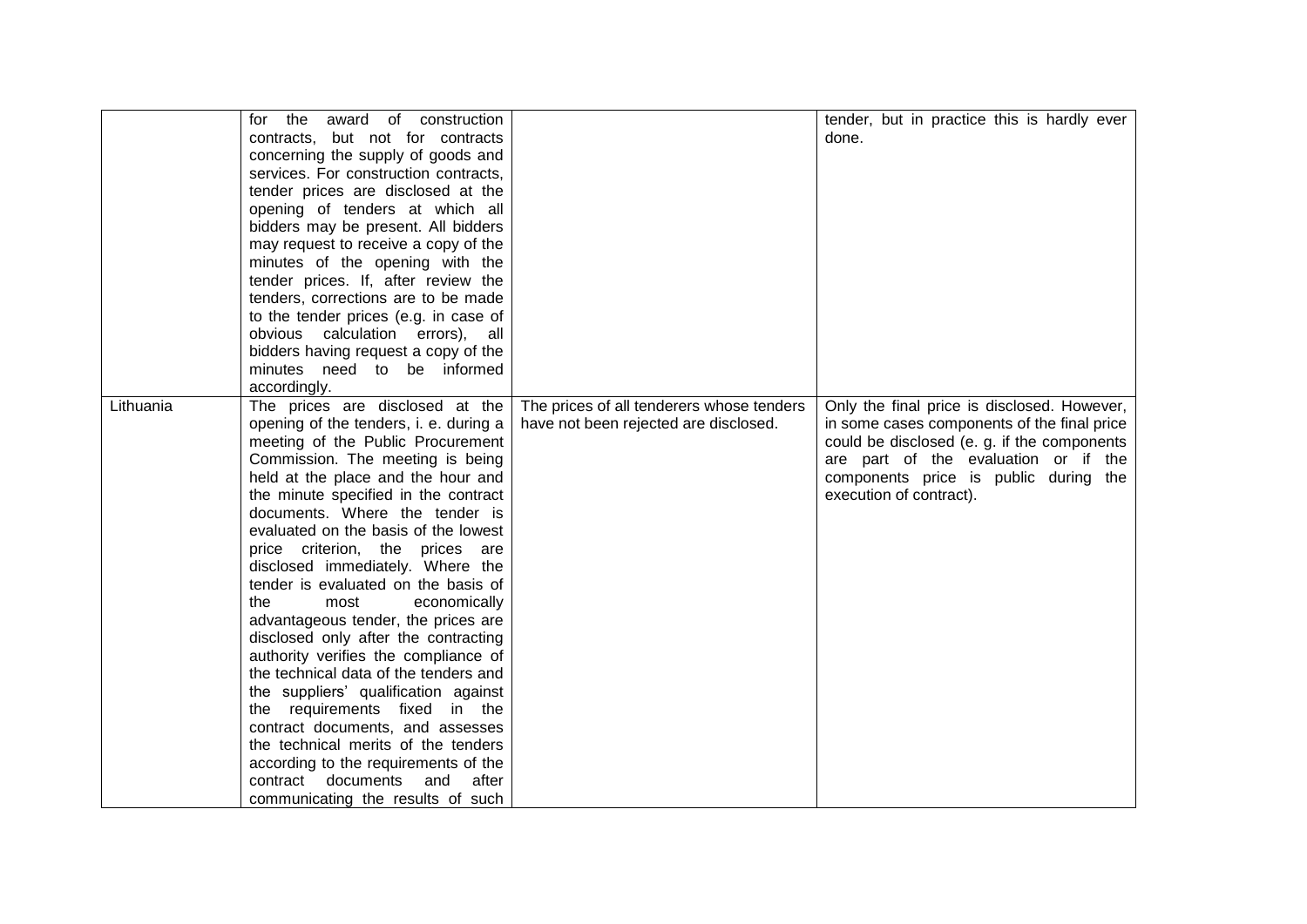|           | for the<br>award of construction<br>contracts, but not for contracts<br>concerning the supply of goods and<br>services. For construction contracts,<br>tender prices are disclosed at the<br>opening of tenders at which all<br>bidders may be present. All bidders<br>may request to receive a copy of the<br>minutes of the opening with the                                                                                                                                                                                                                                                                                                                                                                                                                                                                                                                                                    |                                                                                    | tender, but in practice this is hardly ever<br>done.                                                                                                                                                                                                  |
|-----------|---------------------------------------------------------------------------------------------------------------------------------------------------------------------------------------------------------------------------------------------------------------------------------------------------------------------------------------------------------------------------------------------------------------------------------------------------------------------------------------------------------------------------------------------------------------------------------------------------------------------------------------------------------------------------------------------------------------------------------------------------------------------------------------------------------------------------------------------------------------------------------------------------|------------------------------------------------------------------------------------|-------------------------------------------------------------------------------------------------------------------------------------------------------------------------------------------------------------------------------------------------------|
|           | tender prices. If, after review the<br>tenders, corrections are to be made<br>to the tender prices (e.g. in case of<br>obvious calculation errors), all<br>bidders having request a copy of the<br>minutes need to be informed<br>accordingly.                                                                                                                                                                                                                                                                                                                                                                                                                                                                                                                                                                                                                                                    |                                                                                    |                                                                                                                                                                                                                                                       |
| Lithuania | The prices are disclosed at the<br>opening of the tenders, i. e. during a<br>meeting of the Public Procurement<br>Commission. The meeting is being<br>held at the place and the hour and<br>the minute specified in the contract<br>documents. Where the tender is<br>evaluated on the basis of the lowest<br>price criterion, the prices are<br>disclosed immediately. Where the<br>tender is evaluated on the basis of<br>the<br>most<br>economically<br>advantageous tender, the prices are<br>disclosed only after the contracting<br>authority verifies the compliance of<br>the technical data of the tenders and<br>the suppliers' qualification against<br>the requirements fixed in the<br>contract documents, and assesses<br>the technical merits of the tenders<br>according to the requirements of the<br>contract<br>documents<br>and<br>after<br>communicating the results of such | The prices of all tenderers whose tenders<br>have not been rejected are disclosed. | Only the final price is disclosed. However,<br>in some cases components of the final price<br>could be disclosed (e. g. if the components<br>are part of the evaluation or if the<br>components price is public during the<br>execution of contract). |